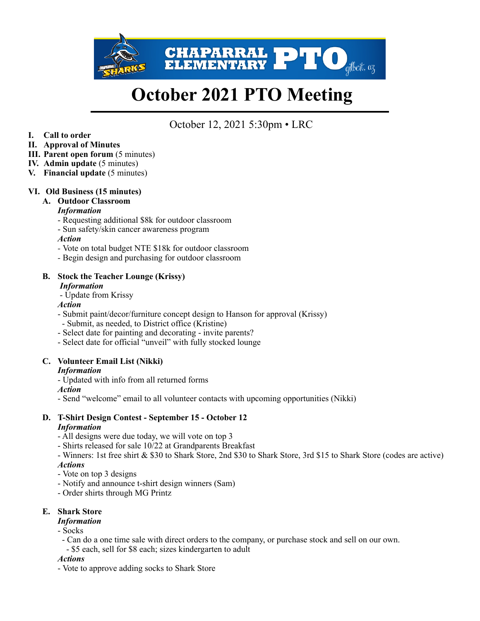

# **October 2021 PTO Meeting**

# October 12, 2021 5:30pm • LRC

**I. Call to order** 

# **II. Approval of Minutes**

- **III. Parent open forum** (5 minutes)
- **IV. Admin update** (5 minutes)
- **V. Financial update** (5 minutes)

# **VI. Old Business (15 minutes)**

#### **A. Outdoor Classroom**

#### *Information*

- Requesting additional \$8k for outdoor classroom
- Sun safety/skin cancer awareness program

#### *Action*

- Vote on total budget NTE \$18k for outdoor classroom
- Begin design and purchasing for outdoor classroom

# **B. Stock the Teacher Lounge (Krissy)**

#### *Information*

- Update from Krissy

#### *Action*

- Submit paint/decor/furniture concept design to Hanson for approval (Krissy)
- Submit, as needed, to District office (Kristine)
- Select date for painting and decorating invite parents?
- Select date for official "unveil" with fully stocked lounge

# **C. Volunteer Email List (Nikki)**

#### *Information*

- Updated with info from all returned forms

#### *Action*

- Send "welcome" email to all volunteer contacts with upcoming opportunities (Nikki)

#### **D. T-Shirt Design Contest - September 15 - October 12**  *Information*

- All designs were due today, we will vote on top 3
- Shirts released for sale 10/22 at Grandparents Breakfast
- Winners: 1st free shirt & \$30 to Shark Store, 2nd \$30 to Shark Store, 3rd \$15 to Shark Store (codes are active) *Actions*
- Vote on top 3 designs
- Notify and announce t-shirt design winners (Sam)
- Order shirts through MG Printz

# **E. Shark Store**

# *Information*

#### - Socks

- Can do a one time sale with direct orders to the company, or purchase stock and sell on our own.
- \$5 each, sell for \$8 each; sizes kindergarten to adult

#### *Actions*

- Vote to approve adding socks to Shark Store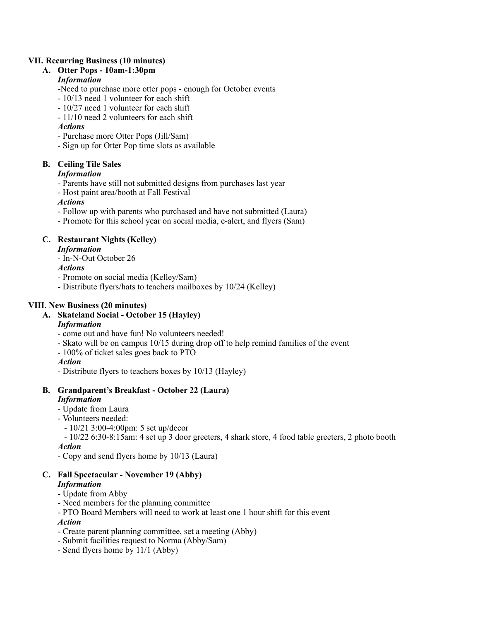#### **VII. Recurring Business (10 minutes)**

#### **A. Otter Pops - 10am-1:30pm**

# *Information*

-Need to purchase more otter pops - enough for October events

- 10/13 need 1 volunteer for each shift
- 10/27 need 1 volunteer for each shift
- 11/10 need 2 volunteers for each shift

# *Actions*

- Purchase more Otter Pops (Jill/Sam)
- Sign up for Otter Pop time slots as available

# **B. Ceiling Tile Sales**

# *Information*

- Parents have still not submitted designs from purchases last year
- Host paint area/booth at Fall Festival

# *Actions*

- Follow up with parents who purchased and have not submitted (Laura)
- Promote for this school year on social media, e-alert, and flyers (Sam)

# **C. Restaurant Nights (Kelley)**

# *Information*

- In-N-Out October 26

*Actions* 

- Promote on social media (Kelley/Sam)
- Distribute flyers/hats to teachers mailboxes by 10/24 (Kelley)

# **VIII. New Business (20 minutes)**

# **A. Skateland Social - October 15 (Hayley)**

# *Information*

- come out and have fun! No volunteers needed!
- Skato will be on campus 10/15 during drop off to help remind families of the event
- 100% of ticket sales goes back to PTO

# *Action*

- Distribute flyers to teachers boxes by 10/13 (Hayley)

#### **B. Grandparent's Breakfast - October 22 (Laura)**  *Information*

- Update from Laura
- Volunteers needed:
- 10/21 3:00-4:00pm: 5 set up/decor

# - 10/22 6:30-8:15am: 4 set up 3 door greeters, 4 shark store, 4 food table greeters, 2 photo booth

# *Action*

- Copy and send flyers home by 10/13 (Laura)

#### **C. Fall Spectacular - November 19 (Abby)**  *Information*

- Update from Abby
- Need members for the planning committee
- PTO Board Members will need to work at least one 1 hour shift for this event

# *Action*

- Create parent planning committee, set a meeting (Abby)
- Submit facilities request to Norma (Abby/Sam)
- Send flyers home by 11/1 (Abby)